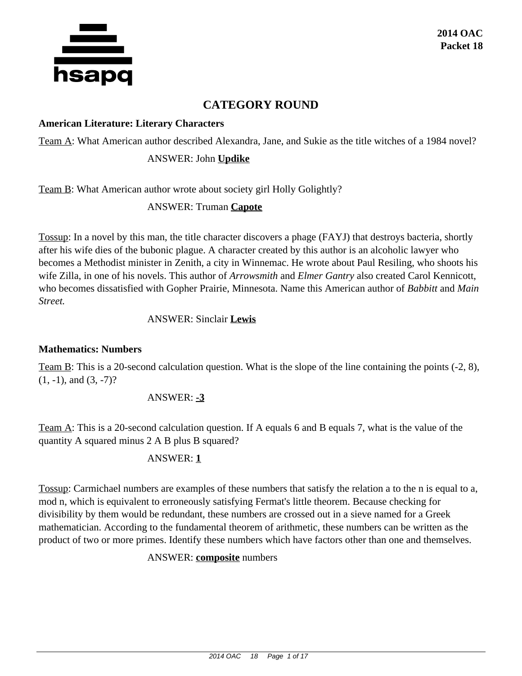

# **CATEGORY ROUND**

#### **American Literature: Literary Characters**

Team A: What American author described Alexandra, Jane, and Sukie as the title witches of a 1984 novel?

#### ANSWER: John **Updike**

Team B: What American author wrote about society girl Holly Golightly?

### ANSWER: Truman **Capote**

Tossup: In a novel by this man, the title character discovers a phage (FAYJ) that destroys bacteria, shortly after his wife dies of the bubonic plague. A character created by this author is an alcoholic lawyer who becomes a Methodist minister in Zenith, a city in Winnemac. He wrote about Paul Resiling, who shoots his wife Zilla, in one of his novels. This author of *Arrowsmith* and *Elmer Gantry* also created Carol Kennicott, who becomes dissatisfied with Gopher Prairie, Minnesota. Name this American author of *Babbitt* and *Main Street.*

#### ANSWER: Sinclair **Lewis**

### **Mathematics: Numbers**

Team B: This is a 20-second calculation question. What is the slope of the line containing the points (-2, 8),  $(1, -1)$ , and  $(3, -7)$ ?

### ANSWER: **-3**

Team A: This is a 20-second calculation question. If A equals 6 and B equals 7, what is the value of the quantity A squared minus 2 A B plus B squared?

### ANSWER: **1**

Tossup: Carmichael numbers are examples of these numbers that satisfy the relation a to the n is equal to a, mod n, which is equivalent to erroneously satisfying Fermat's little theorem. Because checking for divisibility by them would be redundant, these numbers are crossed out in a sieve named for a Greek mathematician. According to the fundamental theorem of arithmetic, these numbers can be written as the product of two or more primes. Identify these numbers which have factors other than one and themselves.

### ANSWER: **composite** numbers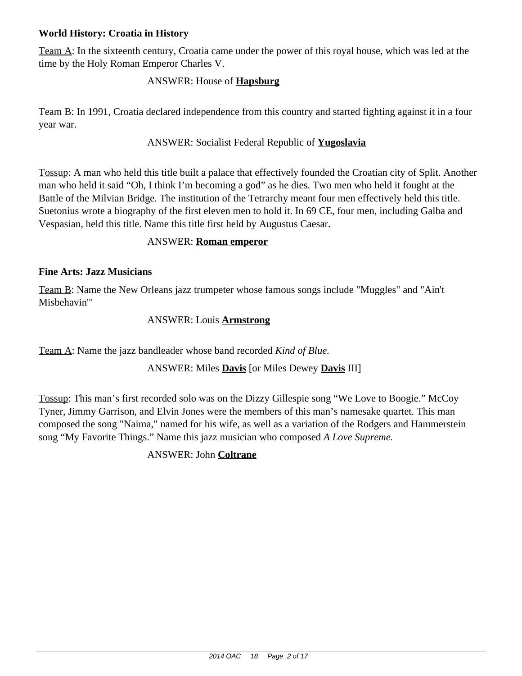# **World History: Croatia in History**

Team A: In the sixteenth century, Croatia came under the power of this royal house, which was led at the time by the Holy Roman Emperor Charles V.

## ANSWER: House of **Hapsburg**

Team B: In 1991, Croatia declared independence from this country and started fighting against it in a four year war.

### ANSWER: Socialist Federal Republic of **Yugoslavia**

Tossup: A man who held this title built a palace that effectively founded the Croatian city of Split. Another man who held it said "Oh, I think I'm becoming a god" as he dies. Two men who held it fought at the Battle of the Milvian Bridge. The institution of the Tetrarchy meant four men effectively held this title. Suetonius wrote a biography of the first eleven men to hold it. In 69 CE, four men, including Galba and Vespasian, held this title. Name this title first held by Augustus Caesar.

#### ANSWER: **Roman emperor**

#### **Fine Arts: Jazz Musicians**

Team B: Name the New Orleans jazz trumpeter whose famous songs include "Muggles" and "Ain't Misbehavin'"

#### ANSWER: Louis **Armstrong**

Team A: Name the jazz bandleader whose band recorded *Kind of Blue.*

### ANSWER: Miles **Davis** [or Miles Dewey **Davis** III]

Tossup: This man's first recorded solo was on the Dizzy Gillespie song "We Love to Boogie." McCoy Tyner, Jimmy Garrison, and Elvin Jones were the members of this man's namesake quartet. This man composed the song "Naima," named for his wife, as well as a variation of the Rodgers and Hammerstein song "My Favorite Things." Name this jazz musician who composed *A Love Supreme.*

### ANSWER: John **Coltrane**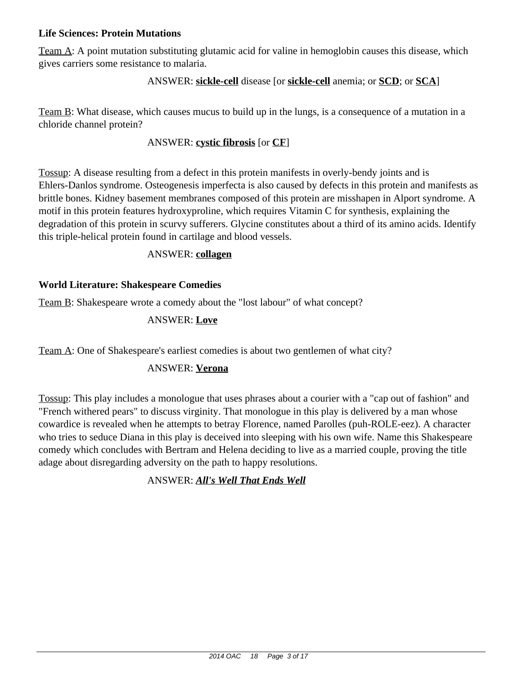### **Life Sciences: Protein Mutations**

Team A: A point mutation substituting glutamic acid for valine in hemoglobin causes this disease, which gives carriers some resistance to malaria.

#### ANSWER: **sickle-cell** disease [or **sickle-cell** anemia; or **SCD**; or **SCA**]

Team B: What disease, which causes mucus to build up in the lungs, is a consequence of a mutation in a chloride channel protein?

#### ANSWER: **cystic fibrosis** [or **CF**]

Tossup: A disease resulting from a defect in this protein manifests in overly-bendy joints and is Ehlers-Danlos syndrome. Osteogenesis imperfecta is also caused by defects in this protein and manifests as brittle bones. Kidney basement membranes composed of this protein are misshapen in Alport syndrome. A motif in this protein features hydroxyproline, which requires Vitamin C for synthesis, explaining the degradation of this protein in scurvy sufferers. Glycine constitutes about a third of its amino acids. Identify this triple-helical protein found in cartilage and blood vessels.

#### ANSWER: **collagen**

### **World Literature: Shakespeare Comedies**

Team B: Shakespeare wrote a comedy about the "lost labour" of what concept?

#### ANSWER: **Love**

Team A: One of Shakespeare's earliest comedies is about two gentlemen of what city?

### ANSWER: **Verona**

Tossup: This play includes a monologue that uses phrases about a courier with a "cap out of fashion" and "French withered pears" to discuss virginity. That monologue in this play is delivered by a man whose cowardice is revealed when he attempts to betray Florence, named Parolles (puh-ROLE-eez). A character who tries to seduce Diana in this play is deceived into sleeping with his own wife. Name this Shakespeare comedy which concludes with Bertram and Helena deciding to live as a married couple, proving the title adage about disregarding adversity on the path to happy resolutions.

### ANSWER: *All's Well That Ends Well*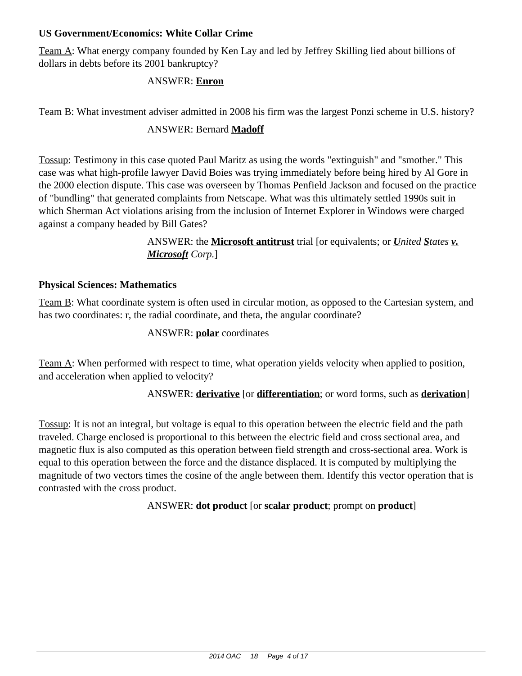## **US Government/Economics: White Collar Crime**

Team A: What energy company founded by Ken Lay and led by Jeffrey Skilling lied about billions of dollars in debts before its 2001 bankruptcy?

## ANSWER: **Enron**

Team B: What investment adviser admitted in 2008 his firm was the largest Ponzi scheme in U.S. history?

# ANSWER: Bernard **Madoff**

Tossup: Testimony in this case quoted Paul Maritz as using the words "extinguish" and "smother." This case was what high-profile lawyer David Boies was trying immediately before being hired by Al Gore in the 2000 election dispute. This case was overseen by Thomas Penfield Jackson and focused on the practice of "bundling" that generated complaints from Netscape. What was this ultimately settled 1990s suit in which Sherman Act violations arising from the inclusion of Internet Explorer in Windows were charged against a company headed by Bill Gates?

> ANSWER: the **Microsoft antitrust** trial [or equivalents; or *United States v. Microsoft Corp.*]

### **Physical Sciences: Mathematics**

Team B: What coordinate system is often used in circular motion, as opposed to the Cartesian system, and has two coordinates: r, the radial coordinate, and theta, the angular coordinate?

### ANSWER: **polar** coordinates

Team A: When performed with respect to time, what operation yields velocity when applied to position, and acceleration when applied to velocity?

### ANSWER: **derivative** [or **differentiation**; or word forms, such as **derivation**]

Tossup: It is not an integral, but voltage is equal to this operation between the electric field and the path traveled. Charge enclosed is proportional to this between the electric field and cross sectional area, and magnetic flux is also computed as this operation between field strength and cross-sectional area. Work is equal to this operation between the force and the distance displaced. It is computed by multiplying the magnitude of two vectors times the cosine of the angle between them. Identify this vector operation that is contrasted with the cross product.

ANSWER: **dot product** [or **scalar product**; prompt on **product**]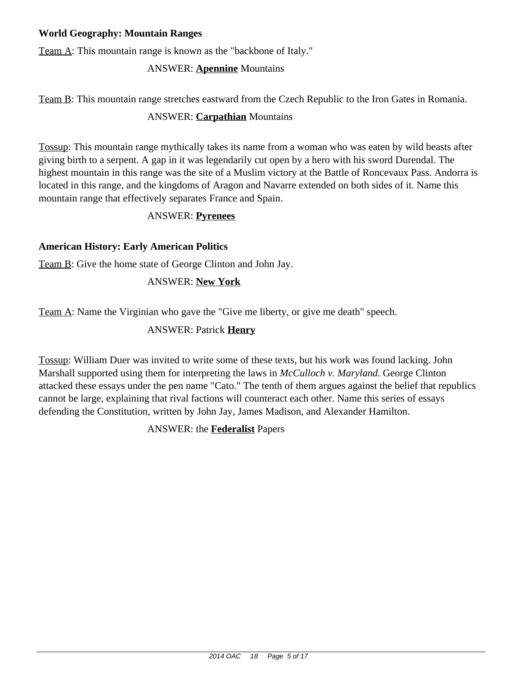# **World Geography: Mountain Ranges**

Team A: This mountain range is known as the "backbone of Italy."

# ANSWER: **Apennine** Mountains

Team B: This mountain range stretches eastward from the Czech Republic to the Iron Gates in Romania.

# ANSWER: **Carpathian** Mountains

Tossup: This mountain range mythically takes its name from a woman who was eaten by wild beasts after giving birth to a serpent. A gap in it was legendarily cut open by a hero with his sword Durendal. The highest mountain in this range was the site of a Muslim victory at the Battle of Roncevaux Pass. Andorra is located in this range, and the kingdoms of Aragon and Navarre extended on both sides of it. Name this mountain range that effectively separates France and Spain.

### ANSWER: **Pyrenees**

# **American History: Early American Politics**

Team B: Give the home state of George Clinton and John Jay.

# ANSWER: **New York**

Team A: Name the Virginian who gave the "Give me liberty, or give me death" speech.

# ANSWER: Patrick **Henry**

Tossup: William Duer was invited to write some of these texts, but his work was found lacking. John Marshall supported using them for interpreting the laws in *McCulloch v. Maryland.* George Clinton attacked these essays under the pen name "Cato." The tenth of them argues against the belief that republics cannot be large, explaining that rival factions will counteract each other. Name this series of essays defending the Constitution, written by John Jay, James Madison, and Alexander Hamilton.

# ANSWER: the **Federalist** Papers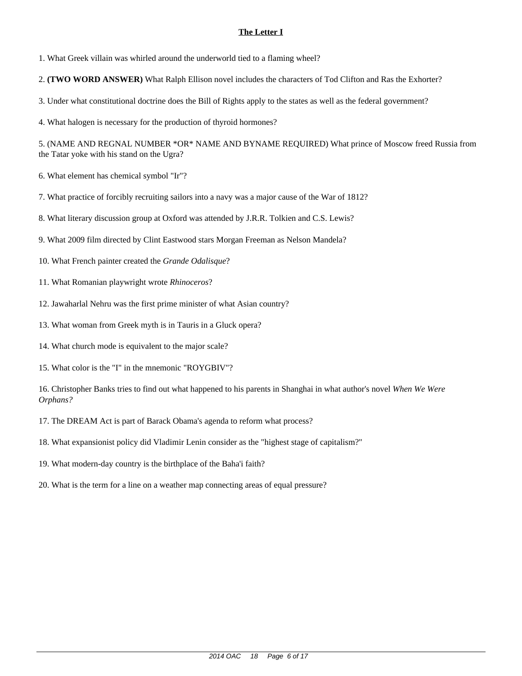1. What Greek villain was whirled around the underworld tied to a flaming wheel?

2. **(TWO WORD ANSWER)** What Ralph Ellison novel includes the characters of Tod Clifton and Ras the Exhorter?

3. Under what constitutional doctrine does the Bill of Rights apply to the states as well as the federal government?

4. What halogen is necessary for the production of thyroid hormones?

5. (NAME AND REGNAL NUMBER \*OR\* NAME AND BYNAME REQUIRED) What prince of Moscow freed Russia from the Tatar yoke with his stand on the Ugra?

6. What element has chemical symbol "Ir"?

7. What practice of forcibly recruiting sailors into a navy was a major cause of the War of 1812?

8. What literary discussion group at Oxford was attended by J.R.R. Tolkien and C.S. Lewis?

- 9. What 2009 film directed by Clint Eastwood stars Morgan Freeman as Nelson Mandela?
- 10. What French painter created the *Grande Odalisque*?
- 11. What Romanian playwright wrote *Rhinoceros*?
- 12. Jawaharlal Nehru was the first prime minister of what Asian country?
- 13. What woman from Greek myth is in Tauris in a Gluck opera?
- 14. What church mode is equivalent to the major scale?
- 15. What color is the "I" in the mnemonic "ROYGBIV"?

- 17. The DREAM Act is part of Barack Obama's agenda to reform what process?
- 18. What expansionist policy did Vladimir Lenin consider as the "highest stage of capitalism?"
- 19. What modern-day country is the birthplace of the Baha'i faith?
- 20. What is the term for a line on a weather map connecting areas of equal pressure?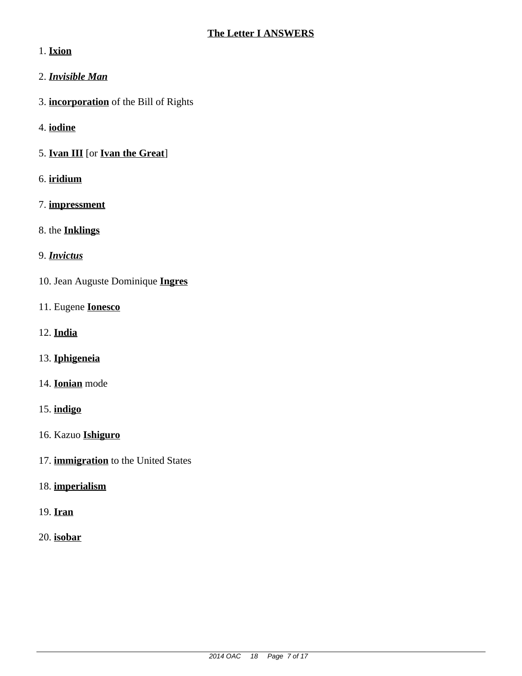# 1. **Ixion**

- 2. *Invisible Man*
- 3. **incorporation** of the Bill of Rights
- 4. **iodine**
- 5. **Ivan III** [or **Ivan the Great**]
- 6. **iridium**
- 7. **impressment**
- 8. the **Inklings**
- 9. *Invictus*
- 10. Jean Auguste Dominique **Ingres**
- 11. Eugene **Ionesco**
- 12. **India**
- 13. **Iphigeneia**
- 14. **Ionian** mode
- 15. **indigo**
- 16. Kazuo **Ishiguro**
- 17. **immigration** to the United States
- 18. **imperialism**
- 19. **Iran**
- 20. **isobar**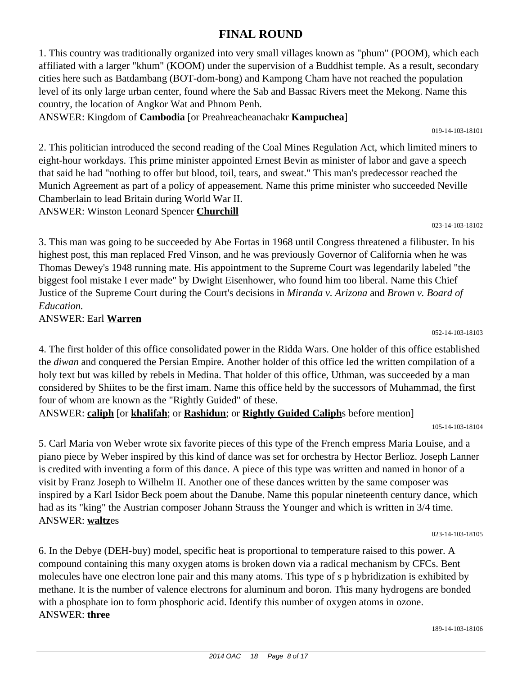# **FINAL ROUND**

1. This country was traditionally organized into very small villages known as "phum" (POOM), which each affiliated with a larger "khum" (KOOM) under the supervision of a Buddhist temple. As a result, secondary cities here such as Batdambang (BOT-dom-bong) and Kampong Cham have not reached the population level of its only large urban center, found where the Sab and Bassac Rivers meet the Mekong. Name this country, the location of Angkor Wat and Phnom Penh.

ANSWER: Kingdom of **Cambodia** [or Preahreacheanachakr **Kampuchea**]

019-14-103-18101

2. This politician introduced the second reading of the Coal Mines Regulation Act, which limited miners to eight-hour workdays. This prime minister appointed Ernest Bevin as minister of labor and gave a speech that said he had "nothing to offer but blood, toil, tears, and sweat." This man's predecessor reached the Munich Agreement as part of a policy of appeasement. Name this prime minister who succeeded Neville Chamberlain to lead Britain during World War II. ANSWER: Winston Leonard Spencer **Churchill**

023-14-103-18102

3. This man was going to be succeeded by Abe Fortas in 1968 until Congress threatened a filibuster. In his highest post, this man replaced Fred Vinson, and he was previously Governor of California when he was Thomas Dewey's 1948 running mate. His appointment to the Supreme Court was legendarily labeled "the biggest fool mistake I ever made" by Dwight Eisenhower, who found him too liberal. Name this Chief Justice of the Supreme Court during the Court's decisions in *Miranda v. Arizona* and *Brown v. Board of Education.*

ANSWER: Earl **Warren**

052-14-103-18103

4. The first holder of this office consolidated power in the Ridda Wars. One holder of this office established the *diwan* and conquered the Persian Empire. Another holder of this office led the written compilation of a holy text but was killed by rebels in Medina. That holder of this office, Uthman, was succeeded by a man considered by Shiites to be the first imam. Name this office held by the successors of Muhammad, the first four of whom are known as the "Rightly Guided" of these.

ANSWER: **caliph** [or **khalifah**; or **Rashidun**; or **Rightly Guided Caliph**s before mention]

105-14-103-18104

5. Carl Maria von Weber wrote six favorite pieces of this type of the French empress Maria Louise, and a piano piece by Weber inspired by this kind of dance was set for orchestra by Hector Berlioz. Joseph Lanner is credited with inventing a form of this dance. A piece of this type was written and named in honor of a visit by Franz Joseph to Wilhelm II. Another one of these dances written by the same composer was inspired by a Karl Isidor Beck poem about the Danube. Name this popular nineteenth century dance, which had as its "king" the Austrian composer Johann Strauss the Younger and which is written in 3/4 time. ANSWER: **waltz**es

023-14-103-18105

6. In the Debye (DEH-buy) model, specific heat is proportional to temperature raised to this power. A compound containing this many oxygen atoms is broken down via a radical mechanism by CFCs. Bent molecules have one electron lone pair and this many atoms. This type of s p hybridization is exhibited by methane. It is the number of valence electrons for aluminum and boron. This many hydrogens are bonded with a phosphate ion to form phosphoric acid. Identify this number of oxygen atoms in ozone. ANSWER: **three**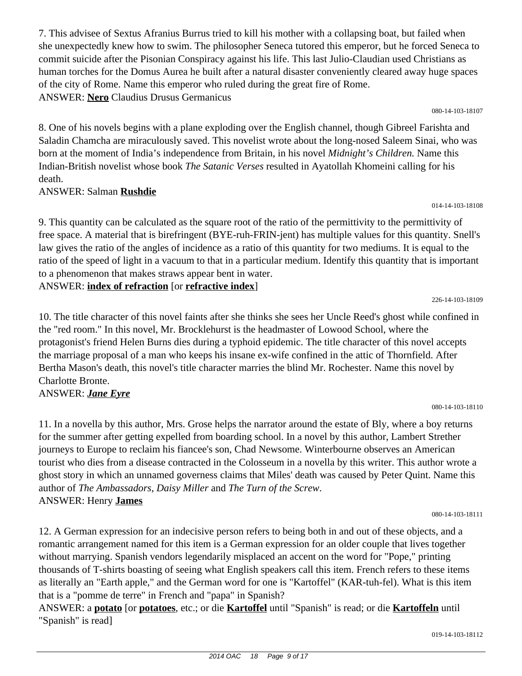7. This advisee of Sextus Afranius Burrus tried to kill his mother with a collapsing boat, but failed when she unexpectedly knew how to swim. The philosopher Seneca tutored this emperor, but he forced Seneca to commit suicide after the Pisonian Conspiracy against his life. This last Julio-Claudian used Christians as human torches for the Domus Aurea he built after a natural disaster conveniently cleared away huge spaces of the city of Rome. Name this emperor who ruled during the great fire of Rome. ANSWER: **Nero** Claudius Drusus Germanicus

080-14-103-18107

8. One of his novels begins with a plane exploding over the English channel, though Gibreel Farishta and Saladin Chamcha are miraculously saved. This novelist wrote about the long-nosed Saleem Sinai, who was born at the moment of India's independence from Britain, in his novel *Midnight's Children.* Name this Indian-British novelist whose book *The Satanic Verses* resulted in Ayatollah Khomeini calling for his death.

### ANSWER: Salman **Rushdie**

9. This quantity can be calculated as the square root of the ratio of the permittivity to the permittivity of free space. A material that is birefringent (BYE-ruh-FRIN-jent) has multiple values for this quantity. Snell's law gives the ratio of the angles of incidence as a ratio of this quantity for two mediums. It is equal to the ratio of the speed of light in a vacuum to that in a particular medium. Identify this quantity that is important to a phenomenon that makes straws appear bent in water.

# ANSWER: **index of refraction** [or **refractive index**]

10. The title character of this novel faints after she thinks she sees her Uncle Reed's ghost while confined in the "red room." In this novel, Mr. Brocklehurst is the headmaster of Lowood School, where the protagonist's friend Helen Burns dies during a typhoid epidemic. The title character of this novel accepts the marriage proposal of a man who keeps his insane ex-wife confined in the attic of Thornfield. After Bertha Mason's death, this novel's title character marries the blind Mr. Rochester. Name this novel by Charlotte Bronte.

### ANSWER: *Jane Eyre*

11. In a novella by this author, Mrs. Grose helps the narrator around the estate of Bly, where a boy returns for the summer after getting expelled from boarding school. In a novel by this author, Lambert Strether journeys to Europe to reclaim his fiancee's son, Chad Newsome. Winterbourne observes an American tourist who dies from a disease contracted in the Colosseum in a novella by this writer. This author wrote a ghost story in which an unnamed governess claims that Miles' death was caused by Peter Quint. Name this author of *The Ambassadors*, *Daisy Miller* and *The Turn of the Screw*. ANSWER: Henry **James**

019-14-103-18112

12. A German expression for an indecisive person refers to being both in and out of these objects, and a romantic arrangement named for this item is a German expression for an older couple that lives together without marrying. Spanish vendors legendarily misplaced an accent on the word for "Pope," printing thousands of T-shirts boasting of seeing what English speakers call this item. French refers to these items as literally an "Earth apple," and the German word for one is "Kartoffel" (KAR-tuh-fel). What is this item that is a "pomme de terre" in French and "papa" in Spanish?

ANSWER: a **potato** [or **potatoes**, etc.; or die **Kartoffel** until "Spanish" is read; or die **Kartoffeln** until "Spanish" is read]

014-14-103-18108

226-14-103-18109

080-14-103-18111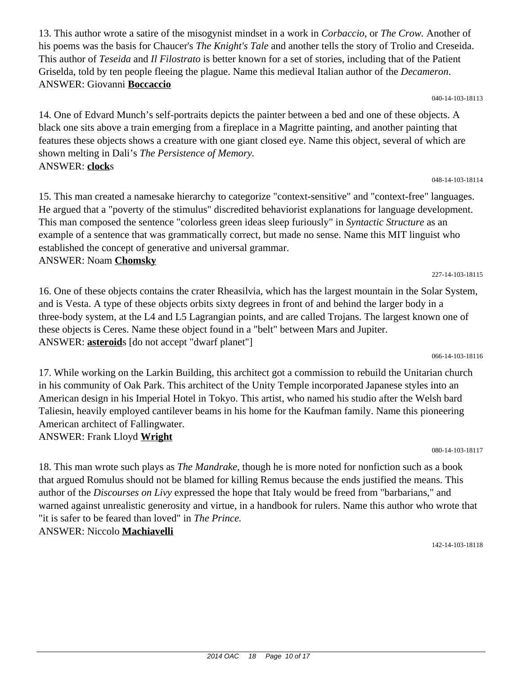13. This author wrote a satire of the misogynist mindset in a work in *Corbaccio*, or *The Crow.* Another of his poems was the basis for Chaucer's *The Knight's Tale* and another tells the story of Trolio and Creseida. This author of *Teseida* and *Il Filostrato* is better known for a set of stories, including that of the Patient Griselda, told by ten people fleeing the plague. Name this medieval Italian author of the *Decameron*. ANSWER: Giovanni **Boccaccio**

040-14-103-18113

048-14-103-18114

14. One of Edvard Munch's self-portraits depicts the painter between a bed and one of these objects. A black one sits above a train emerging from a fireplace in a Magritte painting, and another painting that features these objects shows a creature with one giant closed eye. Name this object, several of which are shown melting in Dali's *The Persistence of Memory.* ANSWER: **clock**s

15. This man created a namesake hierarchy to categorize "context-sensitive" and "context-free" languages. He argued that a "poverty of the stimulus" discredited behaviorist explanations for language development. This man composed the sentence "colorless green ideas sleep furiously" in *Syntactic Structure* as an example of a sentence that was grammatically correct, but made no sense. Name this MIT linguist who established the concept of generative and universal grammar. ANSWER: Noam **Chomsky**

16. One of these objects contains the crater Rheasilvia, which has the largest mountain in the Solar System, and is Vesta. A type of these objects orbits sixty degrees in front of and behind the larger body in a three-body system, at the L4 and L5 Lagrangian points, and are called Trojans. The largest known one of these objects is Ceres. Name these object found in a "belt" between Mars and Jupiter. ANSWER: **asteroid**s [do not accept "dwarf planet"]

17. While working on the Larkin Building, this architect got a commission to rebuild the Unitarian church in his community of Oak Park. This architect of the Unity Temple incorporated Japanese styles into an American design in his Imperial Hotel in Tokyo. This artist, who named his studio after the Welsh bard Taliesin, heavily employed cantilever beams in his home for the Kaufman family. Name this pioneering American architect of Fallingwater. ANSWER: Frank Lloyd **Wright**

080-14-103-18117

18. This man wrote such plays as *The Mandrake,* though he is more noted for nonfiction such as a book that argued Romulus should not be blamed for killing Remus because the ends justified the means. This author of the *Discourses on Livy* expressed the hope that Italy would be freed from "barbarians," and warned against unrealistic generosity and virtue, in a handbook for rulers. Name this author who wrote that "it is safer to be feared than loved" in *The Prince.* ANSWER: Niccolo **Machiavelli**

142-14-103-18118

#### 227-14-103-18115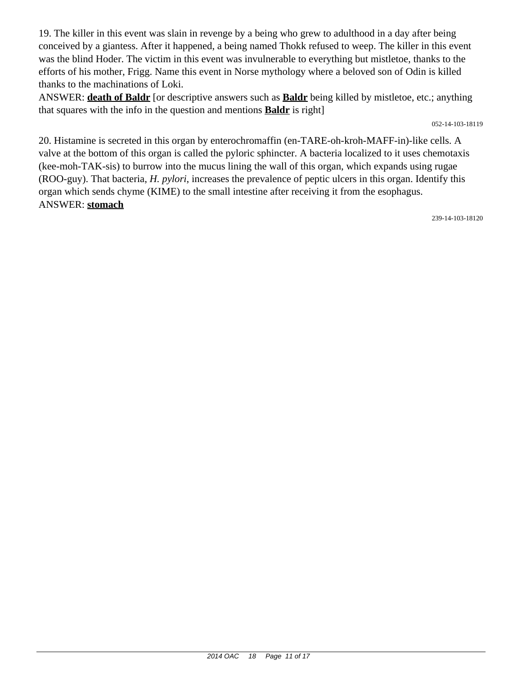19. The killer in this event was slain in revenge by a being who grew to adulthood in a day after being conceived by a giantess. After it happened, a being named Thokk refused to weep. The killer in this event was the blind Hoder. The victim in this event was invulnerable to everything but mistletoe, thanks to the efforts of his mother, Frigg. Name this event in Norse mythology where a beloved son of Odin is killed thanks to the machinations of Loki.

ANSWER: **death of Baldr** [or descriptive answers such as **Baldr** being killed by mistletoe, etc.; anything that squares with the info in the question and mentions **Baldr** is right]

052-14-103-18119

20. Histamine is secreted in this organ by enterochromaffin (en-TARE-oh-kroh-MAFF-in)-like cells. A valve at the bottom of this organ is called the pyloric sphincter. A bacteria localized to it uses chemotaxis (kee-moh-TAK-sis) to burrow into the mucus lining the wall of this organ, which expands using rugae (ROO-guy). That bacteria, *H. pylori*, increases the prevalence of peptic ulcers in this organ. Identify this organ which sends chyme (KIME) to the small intestine after receiving it from the esophagus. ANSWER: **stomach**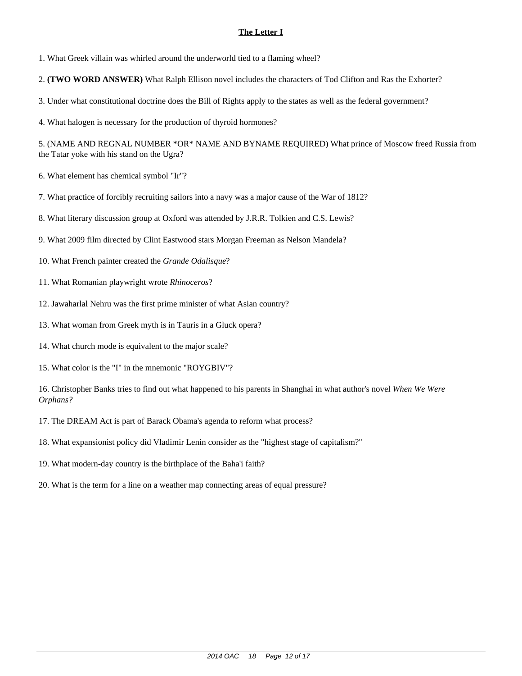1. What Greek villain was whirled around the underworld tied to a flaming wheel?

2. **(TWO WORD ANSWER)** What Ralph Ellison novel includes the characters of Tod Clifton and Ras the Exhorter?

3. Under what constitutional doctrine does the Bill of Rights apply to the states as well as the federal government?

4. What halogen is necessary for the production of thyroid hormones?

5. (NAME AND REGNAL NUMBER \*OR\* NAME AND BYNAME REQUIRED) What prince of Moscow freed Russia from the Tatar yoke with his stand on the Ugra?

6. What element has chemical symbol "Ir"?

7. What practice of forcibly recruiting sailors into a navy was a major cause of the War of 1812?

8. What literary discussion group at Oxford was attended by J.R.R. Tolkien and C.S. Lewis?

- 9. What 2009 film directed by Clint Eastwood stars Morgan Freeman as Nelson Mandela?
- 10. What French painter created the *Grande Odalisque*?
- 11. What Romanian playwright wrote *Rhinoceros*?
- 12. Jawaharlal Nehru was the first prime minister of what Asian country?
- 13. What woman from Greek myth is in Tauris in a Gluck opera?
- 14. What church mode is equivalent to the major scale?
- 15. What color is the "I" in the mnemonic "ROYGBIV"?

- 17. The DREAM Act is part of Barack Obama's agenda to reform what process?
- 18. What expansionist policy did Vladimir Lenin consider as the "highest stage of capitalism?"
- 19. What modern-day country is the birthplace of the Baha'i faith?
- 20. What is the term for a line on a weather map connecting areas of equal pressure?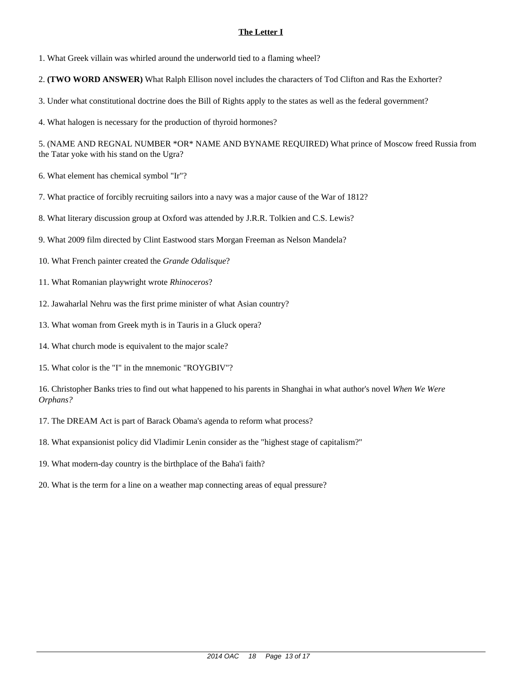1. What Greek villain was whirled around the underworld tied to a flaming wheel?

2. **(TWO WORD ANSWER)** What Ralph Ellison novel includes the characters of Tod Clifton and Ras the Exhorter?

3. Under what constitutional doctrine does the Bill of Rights apply to the states as well as the federal government?

4. What halogen is necessary for the production of thyroid hormones?

5. (NAME AND REGNAL NUMBER \*OR\* NAME AND BYNAME REQUIRED) What prince of Moscow freed Russia from the Tatar yoke with his stand on the Ugra?

6. What element has chemical symbol "Ir"?

7. What practice of forcibly recruiting sailors into a navy was a major cause of the War of 1812?

8. What literary discussion group at Oxford was attended by J.R.R. Tolkien and C.S. Lewis?

- 9. What 2009 film directed by Clint Eastwood stars Morgan Freeman as Nelson Mandela?
- 10. What French painter created the *Grande Odalisque*?
- 11. What Romanian playwright wrote *Rhinoceros*?
- 12. Jawaharlal Nehru was the first prime minister of what Asian country?
- 13. What woman from Greek myth is in Tauris in a Gluck opera?
- 14. What church mode is equivalent to the major scale?
- 15. What color is the "I" in the mnemonic "ROYGBIV"?

- 17. The DREAM Act is part of Barack Obama's agenda to reform what process?
- 18. What expansionist policy did Vladimir Lenin consider as the "highest stage of capitalism?"
- 19. What modern-day country is the birthplace of the Baha'i faith?
- 20. What is the term for a line on a weather map connecting areas of equal pressure?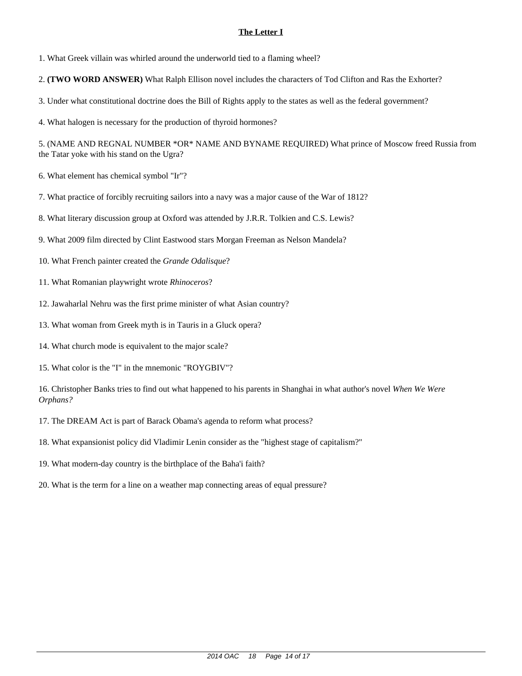1. What Greek villain was whirled around the underworld tied to a flaming wheel?

2. **(TWO WORD ANSWER)** What Ralph Ellison novel includes the characters of Tod Clifton and Ras the Exhorter?

3. Under what constitutional doctrine does the Bill of Rights apply to the states as well as the federal government?

4. What halogen is necessary for the production of thyroid hormones?

5. (NAME AND REGNAL NUMBER \*OR\* NAME AND BYNAME REQUIRED) What prince of Moscow freed Russia from the Tatar yoke with his stand on the Ugra?

6. What element has chemical symbol "Ir"?

7. What practice of forcibly recruiting sailors into a navy was a major cause of the War of 1812?

8. What literary discussion group at Oxford was attended by J.R.R. Tolkien and C.S. Lewis?

- 9. What 2009 film directed by Clint Eastwood stars Morgan Freeman as Nelson Mandela?
- 10. What French painter created the *Grande Odalisque*?
- 11. What Romanian playwright wrote *Rhinoceros*?
- 12. Jawaharlal Nehru was the first prime minister of what Asian country?
- 13. What woman from Greek myth is in Tauris in a Gluck opera?
- 14. What church mode is equivalent to the major scale?
- 15. What color is the "I" in the mnemonic "ROYGBIV"?

- 17. The DREAM Act is part of Barack Obama's agenda to reform what process?
- 18. What expansionist policy did Vladimir Lenin consider as the "highest stage of capitalism?"
- 19. What modern-day country is the birthplace of the Baha'i faith?
- 20. What is the term for a line on a weather map connecting areas of equal pressure?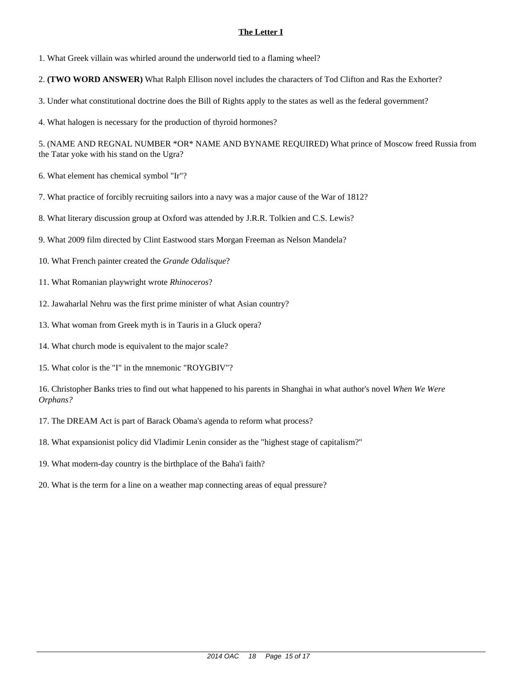1. What Greek villain was whirled around the underworld tied to a flaming wheel?

2. **(TWO WORD ANSWER)** What Ralph Ellison novel includes the characters of Tod Clifton and Ras the Exhorter?

3. Under what constitutional doctrine does the Bill of Rights apply to the states as well as the federal government?

4. What halogen is necessary for the production of thyroid hormones?

5. (NAME AND REGNAL NUMBER \*OR\* NAME AND BYNAME REQUIRED) What prince of Moscow freed Russia from the Tatar yoke with his stand on the Ugra?

6. What element has chemical symbol "Ir"?

7. What practice of forcibly recruiting sailors into a navy was a major cause of the War of 1812?

8. What literary discussion group at Oxford was attended by J.R.R. Tolkien and C.S. Lewis?

- 9. What 2009 film directed by Clint Eastwood stars Morgan Freeman as Nelson Mandela?
- 10. What French painter created the *Grande Odalisque*?
- 11. What Romanian playwright wrote *Rhinoceros*?
- 12. Jawaharlal Nehru was the first prime minister of what Asian country?
- 13. What woman from Greek myth is in Tauris in a Gluck opera?
- 14. What church mode is equivalent to the major scale?
- 15. What color is the "I" in the mnemonic "ROYGBIV"?

- 17. The DREAM Act is part of Barack Obama's agenda to reform what process?
- 18. What expansionist policy did Vladimir Lenin consider as the "highest stage of capitalism?"
- 19. What modern-day country is the birthplace of the Baha'i faith?
- 20. What is the term for a line on a weather map connecting areas of equal pressure?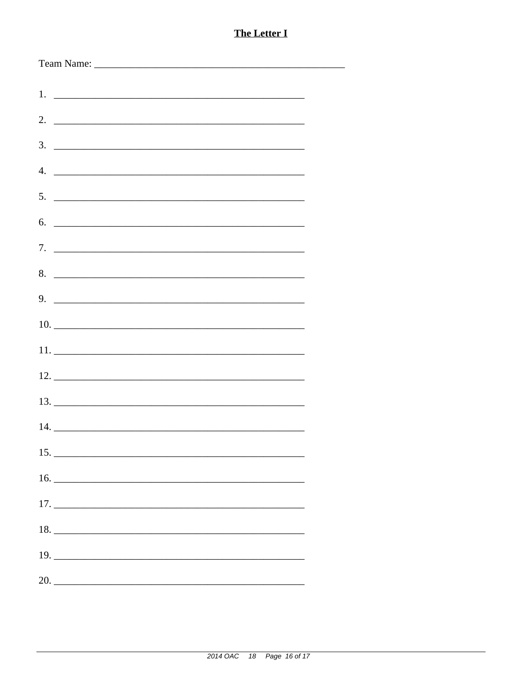|                  | $1.$ $\frac{1}{2}$ $\frac{1}{2}$ $\frac{1}{2}$ $\frac{1}{2}$ $\frac{1}{2}$ $\frac{1}{2}$ $\frac{1}{2}$ $\frac{1}{2}$ $\frac{1}{2}$ $\frac{1}{2}$ $\frac{1}{2}$ $\frac{1}{2}$ $\frac{1}{2}$ $\frac{1}{2}$ $\frac{1}{2}$ $\frac{1}{2}$ $\frac{1}{2}$ $\frac{1}{2}$ $\frac{1}{2}$ $\frac{1}{2}$ $\frac{1}{2}$ $\frac{1}{$ |  |  |
|------------------|------------------------------------------------------------------------------------------------------------------------------------------------------------------------------------------------------------------------------------------------------------------------------------------------------------------------|--|--|
|                  |                                                                                                                                                                                                                                                                                                                        |  |  |
| 3.               | <u> 2000 - Jan James James James James James James James James James James James James James James James James J</u>                                                                                                                                                                                                   |  |  |
| $\overline{4}$ . |                                                                                                                                                                                                                                                                                                                        |  |  |
|                  | $5.$ $\overline{\phantom{a}}$                                                                                                                                                                                                                                                                                          |  |  |
| 6.               |                                                                                                                                                                                                                                                                                                                        |  |  |
|                  |                                                                                                                                                                                                                                                                                                                        |  |  |
|                  | 8.                                                                                                                                                                                                                                                                                                                     |  |  |
|                  |                                                                                                                                                                                                                                                                                                                        |  |  |
|                  |                                                                                                                                                                                                                                                                                                                        |  |  |
|                  |                                                                                                                                                                                                                                                                                                                        |  |  |
|                  |                                                                                                                                                                                                                                                                                                                        |  |  |
|                  |                                                                                                                                                                                                                                                                                                                        |  |  |
|                  |                                                                                                                                                                                                                                                                                                                        |  |  |
|                  |                                                                                                                                                                                                                                                                                                                        |  |  |
|                  |                                                                                                                                                                                                                                                                                                                        |  |  |
|                  |                                                                                                                                                                                                                                                                                                                        |  |  |
|                  |                                                                                                                                                                                                                                                                                                                        |  |  |
|                  |                                                                                                                                                                                                                                                                                                                        |  |  |
|                  |                                                                                                                                                                                                                                                                                                                        |  |  |